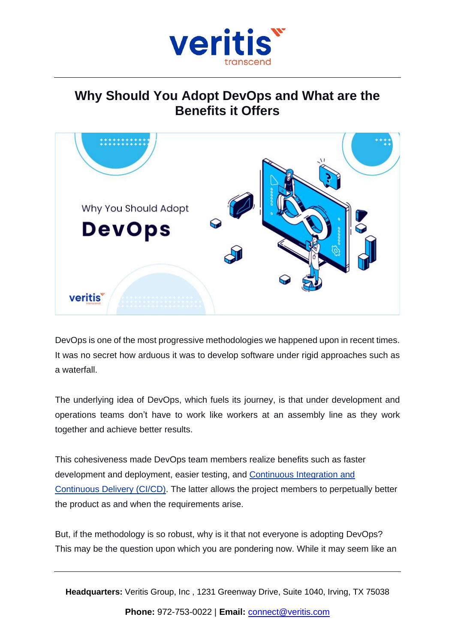

## **Why Should You Adopt DevOps and What are the Benefits it Offers**



DevOps is one of the most progressive methodologies we happened upon in recent times. It was no secret how arduous it was to develop software under rigid approaches such as a waterfall.

The underlying idea of DevOps, which fuels its journey, is that under development and operations teams don't have to work like workers at an assembly line as they work together and achieve better results.

This cohesiveness made DevOps team members realize benefits such as faster development and deployment, easier testing, and [Continuous](https://www.veritis.com/blog/ci-cd-services-integrate-and-automate-devops/) Integration and [Continuous](https://www.veritis.com/blog/ci-cd-services-integrate-and-automate-devops/) Delivery (CI/CD). The latter allows the project members to perpetually better the product as and when the requirements arise.

But, if the methodology is so robust, why is it that not everyone is adopting DevOps? This may be the question upon which you are pondering now. While it may seem like an

**Headquarters:** Veritis Group, Inc , 1231 Greenway Drive, Suite 1040, Irving, TX 75038

**Phone:** 972-753-0022 | **Email:** [connect@veritis.com](mailto:connect@veritis.com)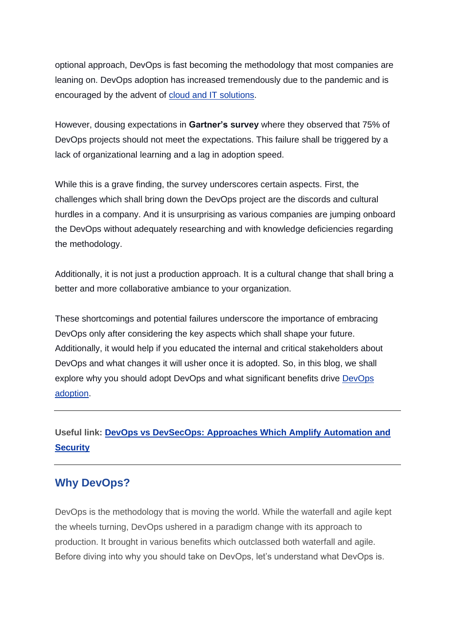optional approach, DevOps is fast becoming the methodology that most companies are leaning on. DevOps adoption has increased tremendously due to the pandemic and is encouraged by the advent of cloud and IT [solutions.](https://www.veritis.com/solutions/cloud/)

However, dousing expectations in **Gartner's survey** where they observed that 75% of DevOps projects should not meet the expectations. This failure shall be triggered by a lack of organizational learning and a lag in adoption speed.

While this is a grave finding, the survey underscores certain aspects. First, the challenges which shall bring down the DevOps project are the discords and cultural hurdles in a company. And it is unsurprising as various companies are jumping onboard the DevOps without adequately researching and with knowledge deficiencies regarding the methodology.

Additionally, it is not just a production approach. It is a cultural change that shall bring a better and more collaborative ambiance to your organization.

These shortcomings and potential failures underscore the importance of embracing DevOps only after considering the key aspects which shall shape your future. Additionally, it would help if you educated the internal and critical stakeholders about DevOps and what changes it will usher once it is adopted. So, in this blog, we shall explore why you should adopt DevOps and what significant benefits drive [DevOps](https://www.veritis.com/blog/devops-transformation-approach-best-practices-and-business-benefits/) [adoption.](https://www.veritis.com/blog/devops-transformation-approach-best-practices-and-business-benefits/)

## **Useful link: DevOps vs [DevSecOps:](https://www.veritis.com/blog/devops-vs-devsecops-approaches-which-amplify-automation-and-security/) Approaches Which Amplify Automation and [Security](https://www.veritis.com/blog/devops-vs-devsecops-approaches-which-amplify-automation-and-security/)**

## **Why DevOps?**

DevOps is the methodology that is moving the world. While the waterfall and agile kept the wheels turning, DevOps ushered in a paradigm change with its approach to production. It brought in various benefits which outclassed both waterfall and agile. Before diving into why you should take on DevOps, let's understand what DevOps is.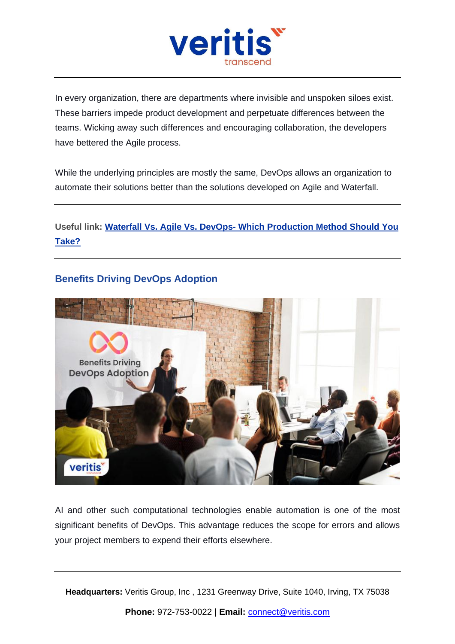

In every organization, there are departments where invisible and unspoken siloes exist. These barriers impede product development and perpetuate differences between the teams. Wicking away such differences and encouraging collaboration, the developers have bettered the Agile process.

While the underlying principles are mostly the same, DevOps allows an organization to automate their solutions better than the solutions developed on Agile and Waterfall.

**Useful link: Waterfall Vs. Agile Vs. DevOps- Which [Production](https://www.veritis.com/blog/waterfall-vs-agile-vs-devops-which-production-method-should-you-take/) Method Should You [Take?](https://www.veritis.com/blog/waterfall-vs-agile-vs-devops-which-production-method-should-you-take/)**

## **Benefits Driving DevOps Adoption**



AI and other such computational technologies enable automation is one of the most significant benefits of DevOps. This advantage reduces the scope for errors and allows your project members to expend their efforts elsewhere.

**Headquarters:** Veritis Group, Inc , 1231 Greenway Drive, Suite 1040, Irving, TX 75038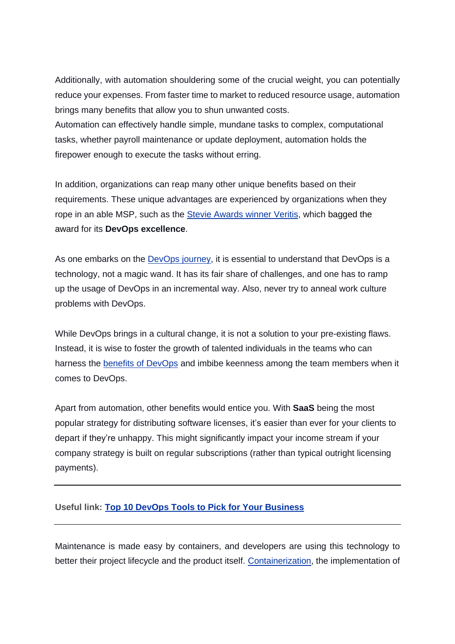Additionally, with automation shouldering some of the crucial weight, you can potentially reduce your expenses. From faster time to market to reduced resource usage, automation brings many benefits that allow you to shun unwanted costs.

Automation can effectively handle simple, mundane tasks to complex, computational tasks, whether payroll maintenance or update deployment, automation holds the firepower enough to execute the tasks without erring.

In addition, organizations can reap many other unique benefits based on their requirements. These unique advantages are experienced by organizations when they rope in an able MSP, such as the Stevie [Awards](https://www.veritis.com/news/veritis-clinches-the-prestigious-stevie-award-for-its-devops-excellence/) winner Veritis, which bagged the award for its **DevOps excellence**.

As one embarks on the [DevOps](https://www.veritis.com/blog/how-containers-can-boost-your-devops-journey/) journey, it is essential to understand that DevOps is a technology, not a magic wand. It has its fair share of challenges, and one has to ramp up the usage of DevOps in an incremental way. Also, never try to anneal work culture problems with DevOps.

While DevOps brings in a cultural change, it is not a solution to your pre-existing flaws. Instead, it is wise to foster the growth of talented individuals in the teams who can harness the benefits of [DevOps](https://www.veritis.com/infographics/eight-devops-adoption-challenges-businesses-must-overcome/) and imbibe keenness among the team members when it comes to DevOps.

Apart from automation, other benefits would entice you. With **SaaS** being the most popular strategy for distributing software licenses, it's easier than ever for your clients to depart if they're unhappy. This might significantly impact your income stream if your company strategy is built on regular subscriptions (rather than typical outright licensing payments).

#### **Useful link: Top 10 DevOps Tools to Pick for Your [Business](https://www.veritis.com/blog/top-10-devops-tools-to-pick-for-your-business/)**

Maintenance is made easy by containers, and developers are using this technology to better their project lifecycle and the product itself. [Containerization,](https://www.veritis.com/solutions/containerization-services/) the implementation of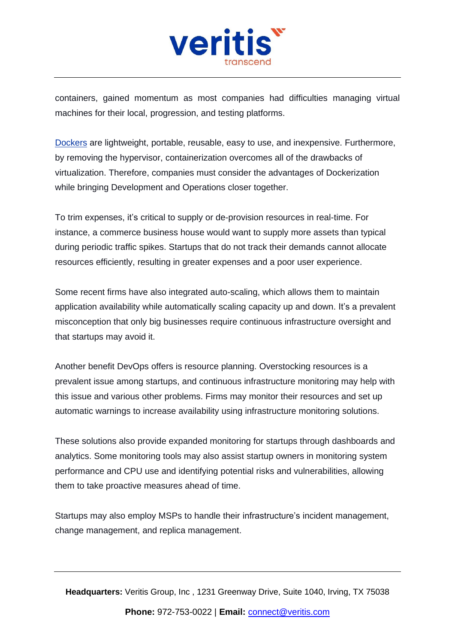

containers, gained momentum as most companies had difficulties managing virtual machines for their local, progression, and testing platforms.

[Dockers](https://www.veritis.com/services/docker/) are lightweight, portable, reusable, easy to use, and inexpensive. Furthermore, by removing the hypervisor, containerization overcomes all of the drawbacks of virtualization. Therefore, companies must consider the advantages of Dockerization while bringing Development and Operations closer together.

To trim expenses, it's critical to supply or de-provision resources in real-time. For instance, a commerce business house would want to supply more assets than typical during periodic traffic spikes. Startups that do not track their demands cannot allocate resources efficiently, resulting in greater expenses and a poor user experience.

Some recent firms have also integrated auto-scaling, which allows them to maintain application availability while automatically scaling capacity up and down. It's a prevalent misconception that only big businesses require continuous infrastructure oversight and that startups may avoid it.

Another benefit DevOps offers is resource planning. Overstocking resources is a prevalent issue among startups, and continuous infrastructure monitoring may help with this issue and various other problems. Firms may monitor their resources and set up automatic warnings to increase availability using infrastructure monitoring solutions.

These solutions also provide expanded monitoring for startups through dashboards and analytics. Some monitoring tools may also assist startup owners in monitoring system performance and CPU use and identifying potential risks and vulnerabilities, allowing them to take proactive measures ahead of time.

Startups may also employ MSPs to handle their infrastructure's incident management, change management, and replica management.

**Headquarters:** Veritis Group, Inc , 1231 Greenway Drive, Suite 1040, Irving, TX 75038

**Phone:** 972-753-0022 | **Email:** [connect@veritis.com](mailto:connect@veritis.com)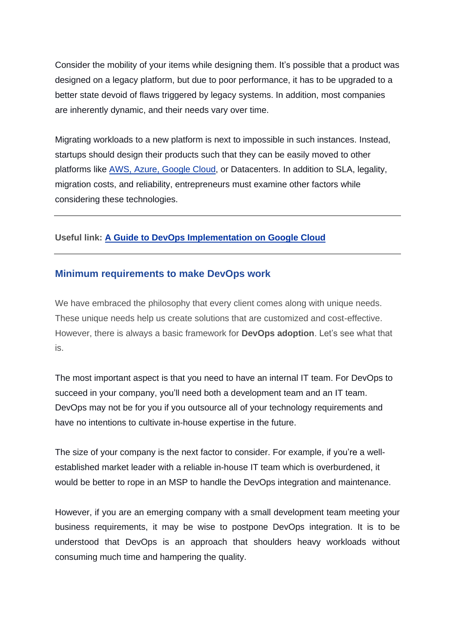Consider the mobility of your items while designing them. It's possible that a product was designed on a legacy platform, but due to poor performance, it has to be upgraded to a better state devoid of flaws triggered by legacy systems. In addition, most companies are inherently dynamic, and their needs vary over time.

Migrating workloads to a new platform is next to impossible in such instances. Instead, startups should design their products such that they can be easily moved to other platforms like AWS, Azure, [Google](https://www.veritis.com/blog/aws-vs-azure-vs-gcp-the-cloud-platform-of-your-choice/) Cloud, or Datacenters. In addition to SLA, legality, migration costs, and reliability, entrepreneurs must examine other factors while considering these technologies.

#### **Useful link: A Guide to DevOps [Implementation](https://www.veritis.com/blog/a-guide-to-devops-implementation-on-google-cloud/) on Google Cloud**

#### **Minimum requirements to make DevOps work**

We have embraced the philosophy that every client comes along with unique needs. These unique needs help us create solutions that are customized and cost-effective. However, there is always a basic framework for **DevOps adoption**. Let's see what that is.

The most important aspect is that you need to have an internal IT team. For DevOps to succeed in your company, you'll need both a development team and an IT team. DevOps may not be for you if you outsource all of your technology requirements and have no intentions to cultivate in-house expertise in the future.

The size of your company is the next factor to consider. For example, if you're a wellestablished market leader with a reliable in-house IT team which is overburdened, it would be better to rope in an MSP to handle the DevOps integration and maintenance.

However, if you are an emerging company with a small development team meeting your business requirements, it may be wise to postpone DevOps integration. It is to be understood that DevOps is an approach that shoulders heavy workloads without consuming much time and hampering the quality.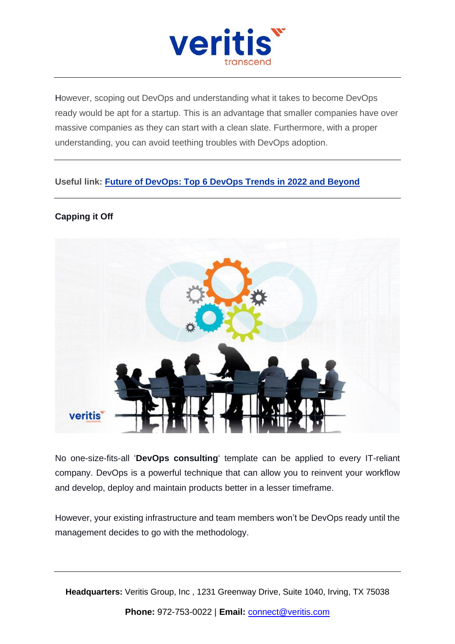

However, scoping out DevOps and understanding what it takes to become DevOps ready would be apt for a startup. This is an advantage that smaller companies have over massive companies as they can start with a clean slate. Furthermore, with a proper understanding, you can avoid teething troubles with DevOps adoption.

## **Useful link: Future of [DevOps:](https://www.veritis.com/blog/future-of-devops-top-6-devops-trends-in-2022-and-beyond/) Top 6 DevOps Trends in 2022 and Beyond**

## **Capping it Off**



No one-size-fits-all '**DevOps consulting**' template can be applied to every IT-reliant company. DevOps is a powerful technique that can allow you to reinvent your workflow and develop, deploy and maintain products better in a lesser timeframe.

However, your existing infrastructure and team members won't be DevOps ready until the management decides to go with the methodology.

**Headquarters:** Veritis Group, Inc , 1231 Greenway Drive, Suite 1040, Irving, TX 75038

**Phone:** 972-753-0022 | **Email:** [connect@veritis.com](mailto:connect@veritis.com)